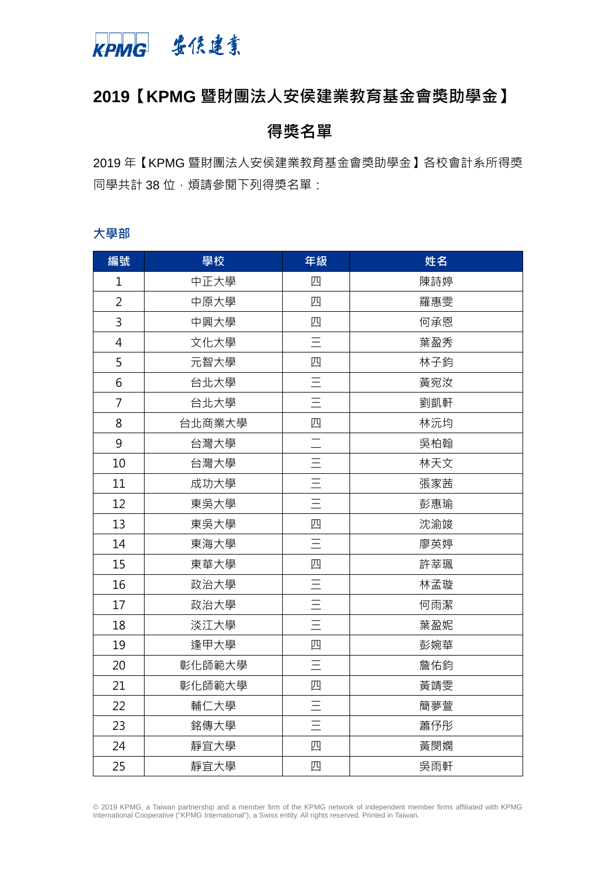

# **【KPMG 暨財團法人安侯建業教育基金會獎助學金】**

# **得獎名單**

 年【KPMG 暨財團法人安侯建業教育基金會獎助學金】各校會計系所得獎 同學共計 38 位,煩請參閱下列得獎名單:

#### **大學部**

| 編號             | 學校     | 年級       | 姓名  |
|----------------|--------|----------|-----|
| $\mathbf 1$    | 中正大學   | 四        | 陳詩婷 |
| $\overline{2}$ | 中原大學   | 四        | 羅惠雯 |
| 3              | 中興大學   | 四        | 何承恩 |
| 4              | 文化大學   | $\equiv$ | 葉盈秀 |
| 5              | 元智大學   | 四        | 林子鈞 |
| 6              | 台北大學   | $\equiv$ | 黃宛汝 |
| $\overline{7}$ | 台北大學   | $\equiv$ | 劉凱軒 |
| 8              | 台北商業大學 | 四        | 林沅均 |
| 9              | 台灣大學   |          | 吳柏翰 |
| 10             | 台灣大學   | $\equiv$ | 林天文 |
| 11             | 成功大學   | $\equiv$ | 張家茜 |
| 12             | 東吳大學   | $\equiv$ | 彭惠瑜 |
| 13             | 東吳大學   | 四        | 沈渝竣 |
| 14             | 東海大學   | $\equiv$ | 廖英婷 |
| 15             | 東華大學   | 四        | 許莘珮 |
| 16             | 政治大學   | $\equiv$ | 林孟璇 |
| 17             | 政治大學   | $\equiv$ | 何雨潔 |
| 18             | 淡江大學   | $\equiv$ | 葉盈妮 |
| 19             | 逢甲大學   | 四        | 彭婉華 |
| 20             | 彰化師範大學 | $=$      | 詹佑鈞 |
| 21             | 彰化師範大學 | 四        | 黃靖雯 |
| 22             | 輔仁大學   | $\equiv$ | 簡夢萱 |
| 23             | 銘傳大學   | $\equiv$ | 蕭伃彤 |
| 24             | 靜宜大學   | 四        | 黃閔嫻 |
| 25             | 靜宜大學   | 四        | 吳雨軒 |

© 2019 KPMG, a Taiwan partnership and a member firm of the KPMG network of independent member firms affiliated with KPMG International Cooperative ("KPMG International"), a Swiss entity. All rights reserved. Printed in Taiwan.